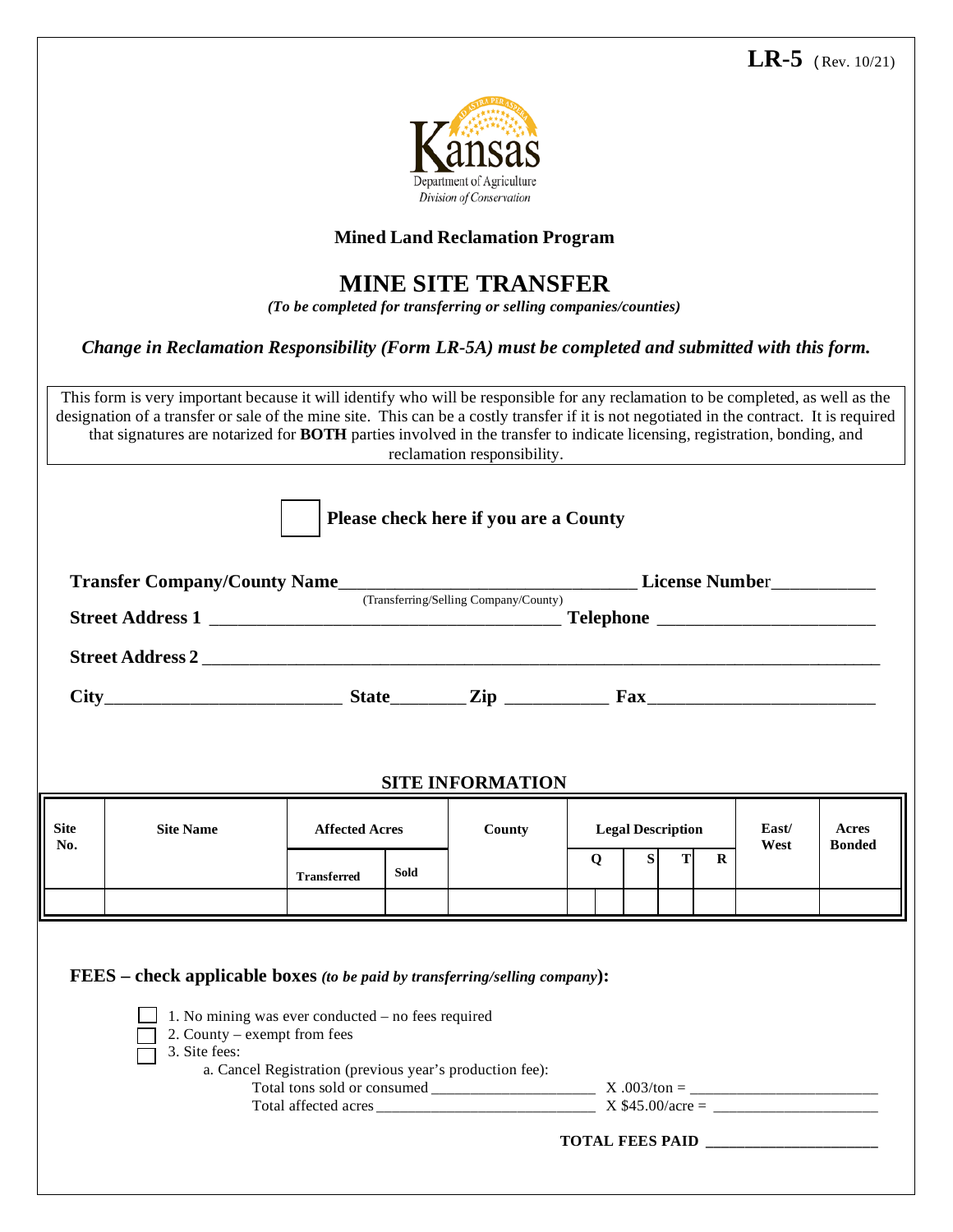

## **Mined Land Reclamation Program**

## **MINE SITE TRANSFER**

*(To be completed for transferring or selling companies/counties)*

## *Change in Reclamation Responsibility (Form LR-5A) must be completed and submitted with this form.*

This form is very important because it will identify who will be responsible for any reclamation to be completed, as well as the designation of a transfer or sale of the mine site. This can be a costly transfer if it is not negotiated in the contract. It is required that signatures are notarized for **BOTH** parties involved in the transfer to indicate licensing, registration, bonding, and reclamation responsibility.

| $City$ Fax $\frac{1}{1}$ $First 1$ $First 2$ $Iep$ $\frac{1}{1}$ $First 2$ $Iep$ $\frac{1}{1}$ $First 2$ $Iep$ $\frac{1}{1}$ |                                                                                    |                       |             |                                                          |        |                          |  |         |               |                        |
|------------------------------------------------------------------------------------------------------------------------------|------------------------------------------------------------------------------------|-----------------------|-------------|----------------------------------------------------------|--------|--------------------------|--|---------|---------------|------------------------|
|                                                                                                                              |                                                                                    |                       |             |                                                          |        |                          |  |         |               |                        |
|                                                                                                                              |                                                                                    |                       |             |                                                          |        |                          |  |         |               |                        |
|                                                                                                                              |                                                                                    |                       |             |                                                          |        |                          |  |         |               |                        |
|                                                                                                                              |                                                                                    |                       |             | <b>SITE INFORMATION</b>                                  |        |                          |  |         |               |                        |
| <b>Site</b>                                                                                                                  | <b>Site Name</b>                                                                   | <b>Affected Acres</b> |             | County                                                   |        | <b>Legal Description</b> |  |         | East/<br>West | Acres<br><b>Bonded</b> |
|                                                                                                                              |                                                                                    |                       |             |                                                          | S<br>T |                          |  |         |               |                        |
|                                                                                                                              |                                                                                    |                       |             |                                                          |        |                          |  |         |               |                        |
|                                                                                                                              |                                                                                    | <b>Transferred</b>    | <b>Sold</b> |                                                          | Q      |                          |  | $\bf R$ |               |                        |
|                                                                                                                              |                                                                                    |                       |             |                                                          |        |                          |  |         |               |                        |
|                                                                                                                              |                                                                                    |                       |             |                                                          |        |                          |  |         |               |                        |
|                                                                                                                              |                                                                                    |                       |             |                                                          |        |                          |  |         |               |                        |
|                                                                                                                              | <b>FEES</b> – check applicable boxes (to be paid by transferring/selling company): |                       |             |                                                          |        |                          |  |         |               |                        |
|                                                                                                                              |                                                                                    |                       |             |                                                          |        |                          |  |         |               |                        |
|                                                                                                                              | 1. No mining was ever conducted – no fees required                                 |                       |             |                                                          |        |                          |  |         |               |                        |
| No.                                                                                                                          | 2. County – exempt from fees<br>3. Site fees:                                      |                       |             |                                                          |        |                          |  |         |               |                        |
|                                                                                                                              |                                                                                    |                       |             | a. Cancel Registration (previous year's production fee): |        |                          |  |         |               |                        |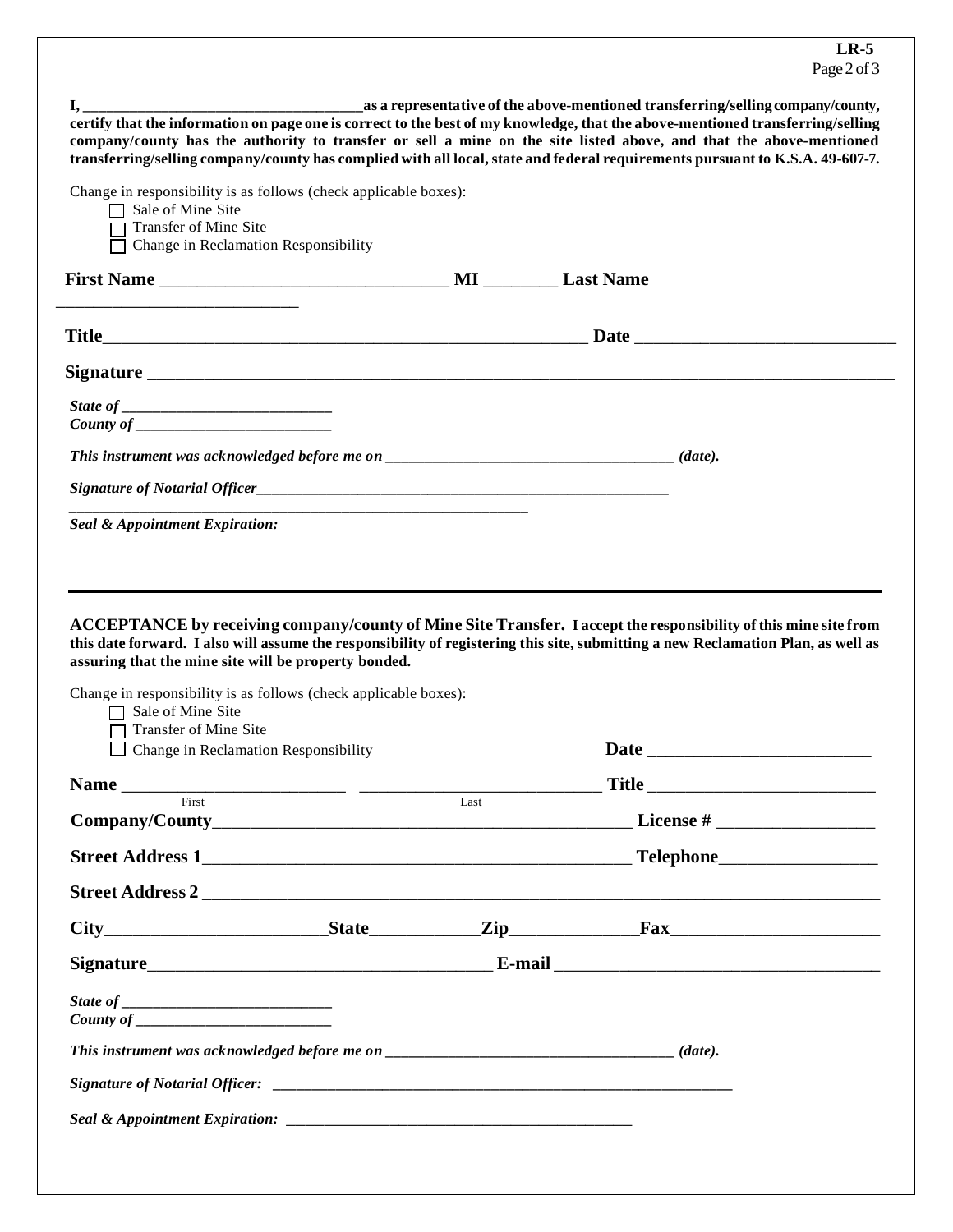| $\mathbf{I},$<br>certify that the information on page one is correct to the best of my knowledge, that the above-mentioned transferring/selling<br>company/county has the authority to transfer or sell a mine on the site listed above, and that the above-mentioned<br>transferring/selling company/county has complied with all local, state and federal requirements pursuant to K.S.A. 49-607-7.                                                                         |      |                                                                                                                                                                                                                                |  |
|-------------------------------------------------------------------------------------------------------------------------------------------------------------------------------------------------------------------------------------------------------------------------------------------------------------------------------------------------------------------------------------------------------------------------------------------------------------------------------|------|--------------------------------------------------------------------------------------------------------------------------------------------------------------------------------------------------------------------------------|--|
| Change in responsibility is as follows (check applicable boxes):<br>$\Box$ Sale of Mine Site<br>Transfer of Mine Site<br>T Change in Reclamation Responsibility                                                                                                                                                                                                                                                                                                               |      |                                                                                                                                                                                                                                |  |
|                                                                                                                                                                                                                                                                                                                                                                                                                                                                               |      |                                                                                                                                                                                                                                |  |
|                                                                                                                                                                                                                                                                                                                                                                                                                                                                               |      |                                                                                                                                                                                                                                |  |
|                                                                                                                                                                                                                                                                                                                                                                                                                                                                               |      |                                                                                                                                                                                                                                |  |
|                                                                                                                                                                                                                                                                                                                                                                                                                                                                               |      |                                                                                                                                                                                                                                |  |
|                                                                                                                                                                                                                                                                                                                                                                                                                                                                               |      |                                                                                                                                                                                                                                |  |
|                                                                                                                                                                                                                                                                                                                                                                                                                                                                               |      |                                                                                                                                                                                                                                |  |
| Seal & Appointment Expiration:                                                                                                                                                                                                                                                                                                                                                                                                                                                |      |                                                                                                                                                                                                                                |  |
| ACCEPTANCE by receiving company/county of Mine Site Transfer. I accept the responsibility of this mine site from<br>this date forward. I also will assume the responsibility of registering this site, submitting a new Reclamation Plan, as well as<br>assuring that the mine site will be property bonded.<br>Change in responsibility is as follows (check applicable boxes):<br>Sale of Mine Site<br>Transfer of Mine Site<br>$\Box$ Change in Reclamation Responsibility |      | Date and the second state of the second state and state and state and state and state and state and state and state and state and state and state and state and state and state and state and state and state and state and st |  |
| First                                                                                                                                                                                                                                                                                                                                                                                                                                                                         | Last | _______ Title ___________                                                                                                                                                                                                      |  |
|                                                                                                                                                                                                                                                                                                                                                                                                                                                                               |      |                                                                                                                                                                                                                                |  |
|                                                                                                                                                                                                                                                                                                                                                                                                                                                                               |      |                                                                                                                                                                                                                                |  |
|                                                                                                                                                                                                                                                                                                                                                                                                                                                                               |      |                                                                                                                                                                                                                                |  |
|                                                                                                                                                                                                                                                                                                                                                                                                                                                                               |      |                                                                                                                                                                                                                                |  |
|                                                                                                                                                                                                                                                                                                                                                                                                                                                                               |      |                                                                                                                                                                                                                                |  |
|                                                                                                                                                                                                                                                                                                                                                                                                                                                                               |      |                                                                                                                                                                                                                                |  |
|                                                                                                                                                                                                                                                                                                                                                                                                                                                                               |      |                                                                                                                                                                                                                                |  |
| This instrument was acknowledged before me on __________________________________(date).                                                                                                                                                                                                                                                                                                                                                                                       |      |                                                                                                                                                                                                                                |  |
|                                                                                                                                                                                                                                                                                                                                                                                                                                                                               |      |                                                                                                                                                                                                                                |  |
|                                                                                                                                                                                                                                                                                                                                                                                                                                                                               |      |                                                                                                                                                                                                                                |  |